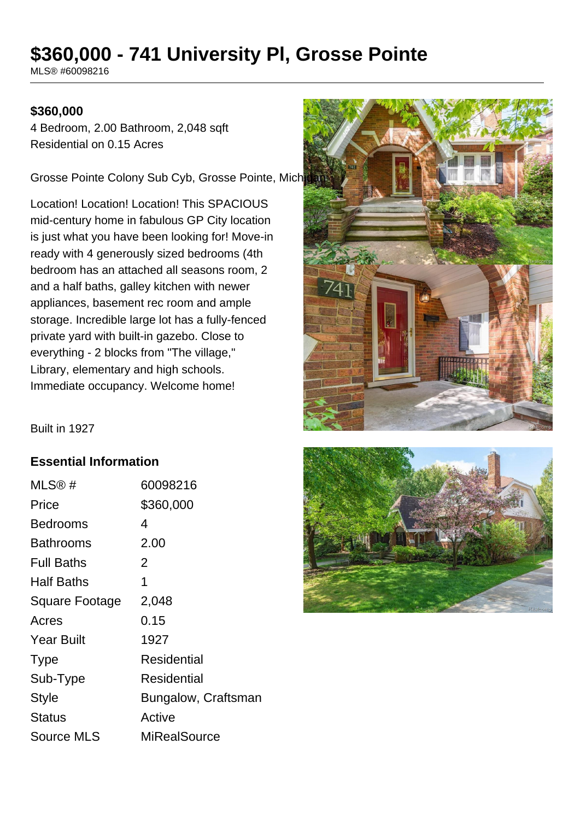# **\$360,000 - 741 University Pl, Grosse Pointe**

MLS® #60098216

### **\$360,000**

4 Bedroom, 2.00 Bathroom, 2,048 sqft Residential on 0.15 Acres

Grosse Pointe Colony Sub Cyb, Grosse Pointe, Mich

Location! Location! Location! This SPACIOUS mid-century home in fabulous GP City location is just what you have been looking for! Move-in ready with 4 generously sized bedrooms (4th bedroom has an attached all seasons room, 2 and a half baths, galley kitchen with newer appliances, basement rec room and ample storage. Incredible large lot has a fully-fenced private yard with built-in gazebo. Close to everything - 2 blocks from "The village," Library, elementary and high schools. Immediate occupancy. Welcome home!



Built in 1927

#### **Essential Information**

| $MLS@$ #              | 60098216            |
|-----------------------|---------------------|
| Price                 | \$360,000           |
| Bedrooms              | 4                   |
| Bathrooms             | 2.00                |
| <b>Full Baths</b>     | 2                   |
| <b>Half Baths</b>     | 1                   |
| <b>Square Footage</b> | 2,048               |
| Acres                 | 0.15                |
| <b>Year Built</b>     | 1927                |
| <b>Type</b>           | Residential         |
| Sub-Type              | Residential         |
| <b>Style</b>          | Bungalow, Craftsman |
| <b>Status</b>         | Active              |
| Source MLS            | MiRealSource        |

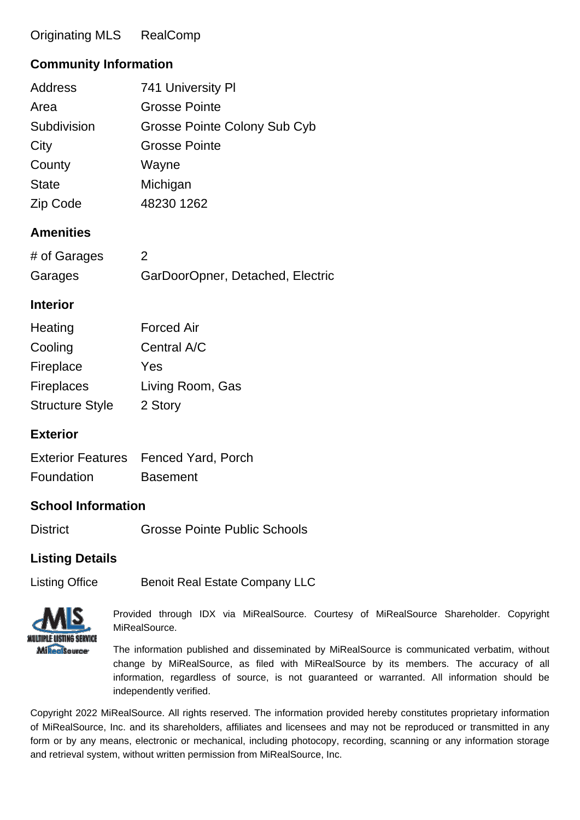## Originating MLS RealComp

## **Community Information**

| Address      | 741 University PI            |
|--------------|------------------------------|
| Area         | <b>Grosse Pointe</b>         |
| Subdivision  | Grosse Pointe Colony Sub Cyb |
| City         | <b>Grosse Pointe</b>         |
| County       | Wayne                        |
| <b>State</b> | Michigan                     |
| Zip Code     | 48230 1262                   |

#### **Amenities**

| # of Garages |                                  |
|--------------|----------------------------------|
| Garages      | GarDoorOpner, Detached, Electric |

#### **Interior**

| Heating                | <b>Forced Air</b> |
|------------------------|-------------------|
| Cooling                | Central A/C       |
| Fireplace              | Yes               |
| <b>Fireplaces</b>      | Living Room, Gas  |
| <b>Structure Style</b> | 2 Story           |

## **Exterior**

|            | Exterior Features Fenced Yard, Porch |
|------------|--------------------------------------|
| Foundation | <b>Basement</b>                      |

#### **School Information**

| <b>District</b> | <b>Grosse Pointe Public Schools</b> |
|-----------------|-------------------------------------|
|                 |                                     |

#### **Listing Details**

Listing Office **Benoit Real Estate Company LLC** 



Provided through IDX via MiRealSource. Courtesy of MiRealSource Shareholder. Copyright MiRealSource.

The information published and disseminated by MiRealSource is communicated verbatim, without change by MiRealSource, as filed with MiRealSource by its members. The accuracy of all information, regardless of source, is not guaranteed or warranted. All information should be independently verified.

Copyright 2022 MiRealSource. All rights reserved. The information provided hereby constitutes proprietary information of MiRealSource, Inc. and its shareholders, affiliates and licensees and may not be reproduced or transmitted in any form or by any means, electronic or mechanical, including photocopy, recording, scanning or any information storage and retrieval system, without written permission from MiRealSource, Inc.